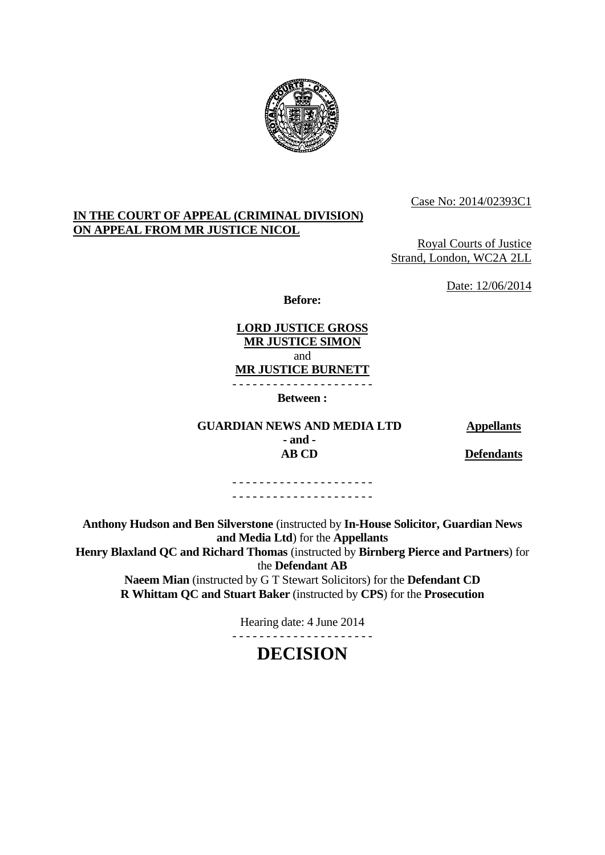

Case No: 2014/02393C1

### **IN THE COURT OF APPEAL (CRIMINAL DIVISION) ON APPEAL FROM MR JUSTICE NICOL**

Royal Courts of Justice Strand, London, WC2A 2LL

Date: 12/06/2014

**Before:** 

**LORD JUSTICE GROSS MR JUSTICE SIMON** and **MR JUSTICE BURNETT** - - - - - - - - - - - - - - - - - - - - -

**Between :** 

**GUARDIAN NEWS AND MEDIA LTD 4ppellants - and -** 

**AB CD Defendants**

- - - - - - - - - - - - - - - - - - - - - - - - - - - - - - - - - - - - - - - - - -

**Anthony Hudson and Ben Silverstone** (instructed by **In-House Solicitor, Guardian News and Media Ltd**) for the **Appellants Henry Blaxland QC and Richard Thomas** (instructed by **Birnberg Pierce and Partners**) for the **Defendant AB Naeem Mian** (instructed by G T Stewart Solicitors) for the **Defendant CD** 

**R Whittam QC and Stuart Baker** (instructed by **CPS**) for the **Prosecution** 

Hearing date: 4 June 2014

# **DECISION**

- - - - - - - - - - - - - - - - - - - - -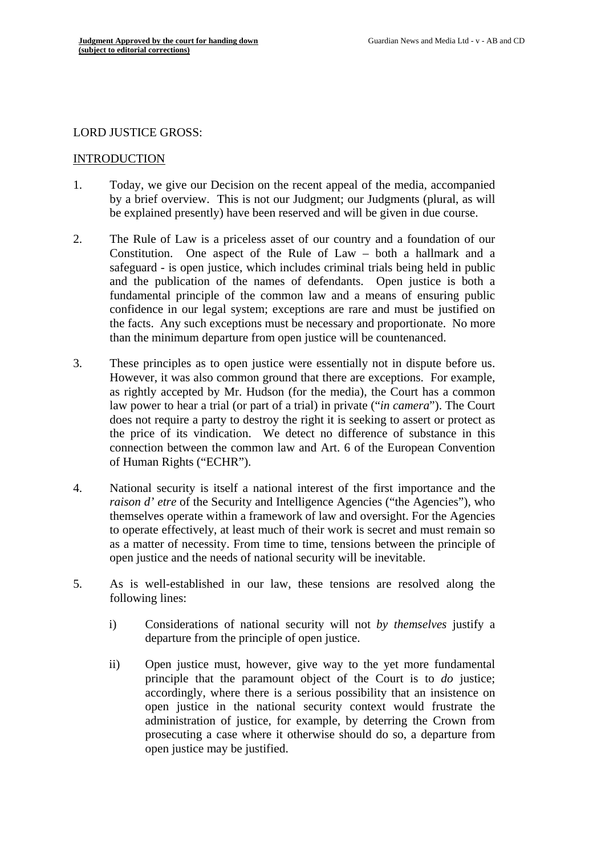## LORD JUSTICE GROSS:

### INTRODUCTION

- 1. Today, we give our Decision on the recent appeal of the media, accompanied by a brief overview. This is not our Judgment; our Judgments (plural, as will be explained presently) have been reserved and will be given in due course.
- 2. The Rule of Law is a priceless asset of our country and a foundation of our Constitution. One aspect of the Rule of Law – both a hallmark and a safeguard - is open justice, which includes criminal trials being held in public and the publication of the names of defendants. Open justice is both a fundamental principle of the common law and a means of ensuring public confidence in our legal system; exceptions are rare and must be justified on the facts. Any such exceptions must be necessary and proportionate. No more than the minimum departure from open justice will be countenanced.
- 3. These principles as to open justice were essentially not in dispute before us. However, it was also common ground that there are exceptions. For example, as rightly accepted by Mr. Hudson (for the media), the Court has a common law power to hear a trial (or part of a trial) in private ("*in camera*"). The Court does not require a party to destroy the right it is seeking to assert or protect as the price of its vindication. We detect no difference of substance in this connection between the common law and Art. 6 of the European Convention of Human Rights ("ECHR").
- 4. National security is itself a national interest of the first importance and the *raison d' etre* of the Security and Intelligence Agencies ("the Agencies"), who themselves operate within a framework of law and oversight. For the Agencies to operate effectively, at least much of their work is secret and must remain so as a matter of necessity. From time to time, tensions between the principle of open justice and the needs of national security will be inevitable.
- 5. As is well-established in our law, these tensions are resolved along the following lines:
	- i) Considerations of national security will not *by themselves* justify a departure from the principle of open justice.
	- ii) Open justice must, however, give way to the yet more fundamental principle that the paramount object of the Court is to *do* justice; accordingly, where there is a serious possibility that an insistence on open justice in the national security context would frustrate the administration of justice, for example, by deterring the Crown from prosecuting a case where it otherwise should do so, a departure from open justice may be justified.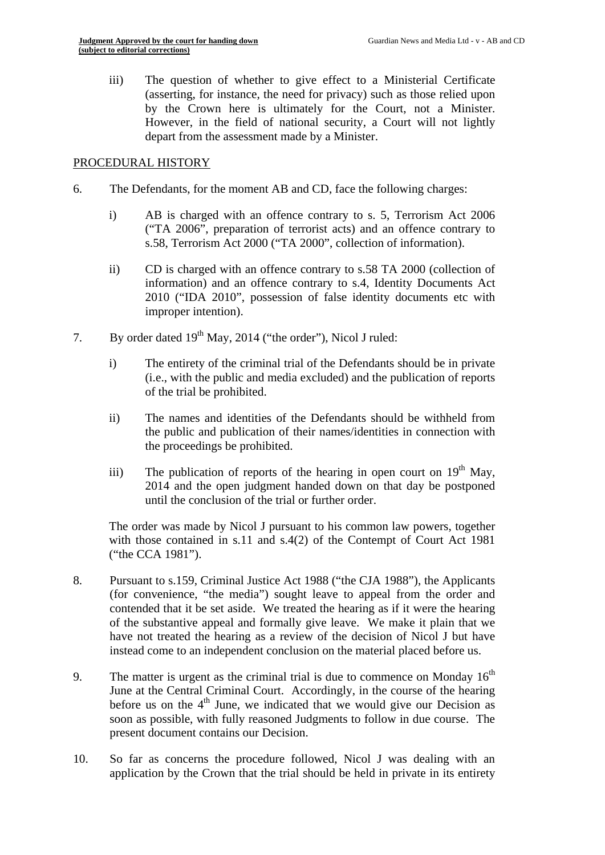iii) The question of whether to give effect to a Ministerial Certificate (asserting, for instance, the need for privacy) such as those relied upon by the Crown here is ultimately for the Court, not a Minister. However, in the field of national security, a Court will not lightly depart from the assessment made by a Minister.

#### PROCEDURAL HISTORY

- 6. The Defendants, for the moment AB and CD, face the following charges:
	- i) AB is charged with an offence contrary to s. 5, Terrorism Act 2006 ("TA 2006", preparation of terrorist acts) and an offence contrary to s.58, Terrorism Act 2000 ("TA 2000", collection of information).
	- ii) CD is charged with an offence contrary to s.58 TA 2000 (collection of information) and an offence contrary to s.4, Identity Documents Act 2010 ("IDA 2010", possession of false identity documents etc with improper intention).
- 7. By order dated 19<sup>th</sup> May, 2014 ("the order"). Nicol J ruled:
	- i) The entirety of the criminal trial of the Defendants should be in private (i.e., with the public and media excluded) and the publication of reports of the trial be prohibited.
	- ii) The names and identities of the Defendants should be withheld from the public and publication of their names/identities in connection with the proceedings be prohibited.
	- iii) The publication of reports of the hearing in open court on  $19<sup>th</sup>$  May, 2014 and the open judgment handed down on that day be postponed until the conclusion of the trial or further order.

The order was made by Nicol J pursuant to his common law powers, together with those contained in s.11 and s.4(2) of the Contempt of Court Act 1981 ("the CCA 1981").

- 8. Pursuant to s.159, Criminal Justice Act 1988 ("the CJA 1988"), the Applicants (for convenience, "the media") sought leave to appeal from the order and contended that it be set aside. We treated the hearing as if it were the hearing of the substantive appeal and formally give leave. We make it plain that we have not treated the hearing as a review of the decision of Nicol J but have instead come to an independent conclusion on the material placed before us.
- 9. The matter is urgent as the criminal trial is due to commence on Monday  $16<sup>th</sup>$ June at the Central Criminal Court. Accordingly, in the course of the hearing before us on the  $4<sup>th</sup>$  June, we indicated that we would give our Decision as soon as possible, with fully reasoned Judgments to follow in due course. The present document contains our Decision.
- 10. So far as concerns the procedure followed, Nicol J was dealing with an application by the Crown that the trial should be held in private in its entirety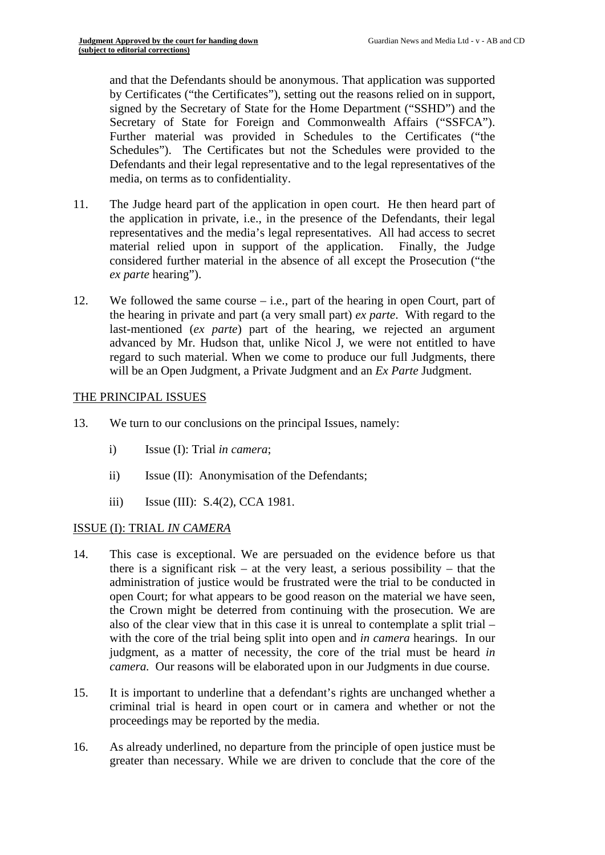and that the Defendants should be anonymous. That application was supported by Certificates ("the Certificates"), setting out the reasons relied on in support, signed by the Secretary of State for the Home Department ("SSHD") and the Secretary of State for Foreign and Commonwealth Affairs ("SSFCA"). Further material was provided in Schedules to the Certificates ("the Schedules"). The Certificates but not the Schedules were provided to the Defendants and their legal representative and to the legal representatives of the media, on terms as to confidentiality.

- 11. The Judge heard part of the application in open court. He then heard part of the application in private, i.e., in the presence of the Defendants, their legal representatives and the media's legal representatives. All had access to secret material relied upon in support of the application. Finally, the Judge considered further material in the absence of all except the Prosecution ("the *ex parte* hearing").
- 12. We followed the same course i.e., part of the hearing in open Court, part of the hearing in private and part (a very small part) *ex parte*. With regard to the last-mentioned (*ex parte*) part of the hearing, we rejected an argument advanced by Mr. Hudson that, unlike Nicol J, we were not entitled to have regard to such material. When we come to produce our full Judgments, there will be an Open Judgment, a Private Judgment and an *Ex Parte* Judgment.

# THE PRINCIPAL ISSUES

- 13. We turn to our conclusions on the principal Issues, namely:
	- i) Issue (I): Trial *in camera*;
	- ii) Issue (II): Anonymisation of the Defendants;
	- iii) Issue (III): S.4(2), CCA 1981.

### ISSUE (I): TRIAL *IN CAMERA*

- 14. This case is exceptional. We are persuaded on the evidence before us that there is a significant risk – at the very least, a serious possibility – that the administration of justice would be frustrated were the trial to be conducted in open Court; for what appears to be good reason on the material we have seen, the Crown might be deterred from continuing with the prosecution. We are also of the clear view that in this case it is unreal to contemplate a split trial – with the core of the trial being split into open and *in camera* hearings. In our judgment, as a matter of necessity, the core of the trial must be heard *in camera.* Our reasons will be elaborated upon in our Judgments in due course.
- 15. It is important to underline that a defendant's rights are unchanged whether a criminal trial is heard in open court or in camera and whether or not the proceedings may be reported by the media.
- 16. As already underlined, no departure from the principle of open justice must be greater than necessary. While we are driven to conclude that the core of the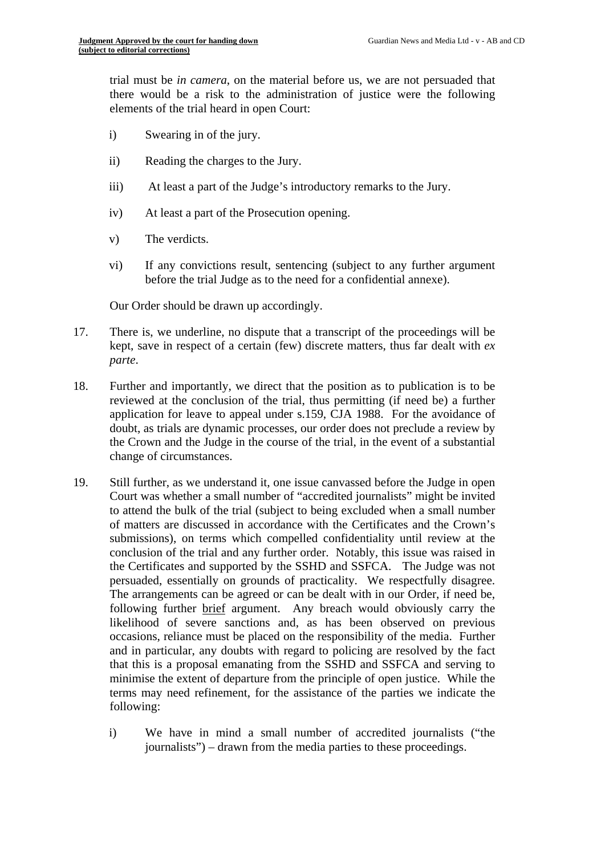trial must be *in camera*, on the material before us, we are not persuaded that there would be a risk to the administration of justice were the following elements of the trial heard in open Court:

- i) Swearing in of the jury.
- ii) Reading the charges to the Jury.
- iii) At least a part of the Judge's introductory remarks to the Jury.
- iv) At least a part of the Prosecution opening.
- v) The verdicts.
- vi) If any convictions result, sentencing (subject to any further argument before the trial Judge as to the need for a confidential annexe).

Our Order should be drawn up accordingly.

- 17. There is, we underline, no dispute that a transcript of the proceedings will be kept, save in respect of a certain (few) discrete matters, thus far dealt with *ex parte*.
- 18. Further and importantly, we direct that the position as to publication is to be reviewed at the conclusion of the trial, thus permitting (if need be) a further application for leave to appeal under s.159, CJA 1988. For the avoidance of doubt, as trials are dynamic processes, our order does not preclude a review by the Crown and the Judge in the course of the trial, in the event of a substantial change of circumstances.
- 19. Still further, as we understand it, one issue canvassed before the Judge in open Court was whether a small number of "accredited journalists" might be invited to attend the bulk of the trial (subject to being excluded when a small number of matters are discussed in accordance with the Certificates and the Crown's submissions), on terms which compelled confidentiality until review at the conclusion of the trial and any further order. Notably, this issue was raised in the Certificates and supported by the SSHD and SSFCA. The Judge was not persuaded, essentially on grounds of practicality. We respectfully disagree. The arrangements can be agreed or can be dealt with in our Order, if need be, following further brief argument. Any breach would obviously carry the likelihood of severe sanctions and, as has been observed on previous occasions, reliance must be placed on the responsibility of the media. Further and in particular, any doubts with regard to policing are resolved by the fact that this is a proposal emanating from the SSHD and SSFCA and serving to minimise the extent of departure from the principle of open justice. While the terms may need refinement, for the assistance of the parties we indicate the following:
	- i) We have in mind a small number of accredited journalists ("the journalists") – drawn from the media parties to these proceedings.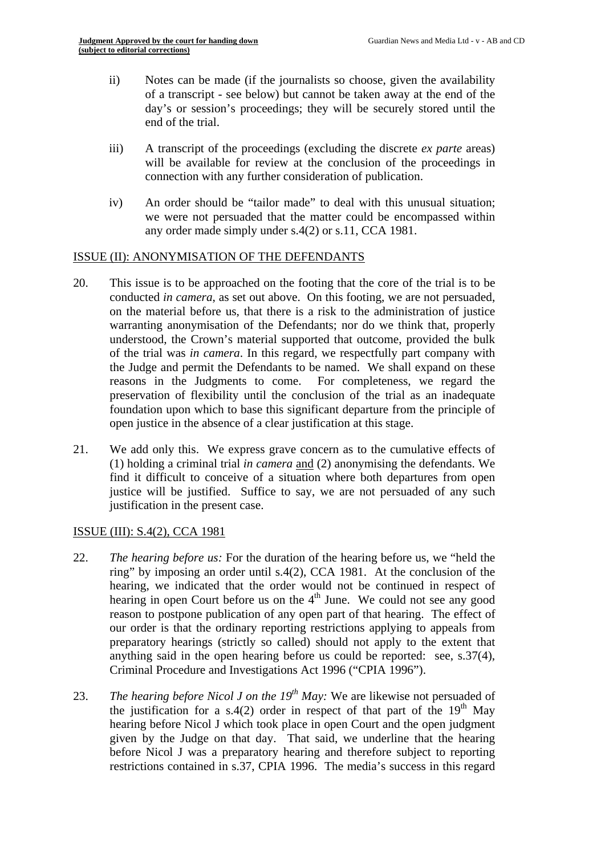- ii) Notes can be made (if the journalists so choose, given the availability of a transcript - see below) but cannot be taken away at the end of the day's or session's proceedings; they will be securely stored until the end of the trial.
- iii) A transcript of the proceedings (excluding the discrete *ex parte* areas) will be available for review at the conclusion of the proceedings in connection with any further consideration of publication.
- iv) An order should be "tailor made" to deal with this unusual situation; we were not persuaded that the matter could be encompassed within any order made simply under s.4(2) or s.11, CCA 1981.

# ISSUE (II): ANONYMISATION OF THE DEFENDANTS

- 20. This issue is to be approached on the footing that the core of the trial is to be conducted *in camera*, as set out above. On this footing, we are not persuaded, on the material before us, that there is a risk to the administration of justice warranting anonymisation of the Defendants; nor do we think that, properly understood, the Crown's material supported that outcome, provided the bulk of the trial was *in camera*. In this regard, we respectfully part company with the Judge and permit the Defendants to be named. We shall expand on these reasons in the Judgments to come. For completeness, we regard the preservation of flexibility until the conclusion of the trial as an inadequate foundation upon which to base this significant departure from the principle of open justice in the absence of a clear justification at this stage.
- 21. We add only this. We express grave concern as to the cumulative effects of (1) holding a criminal trial *in camera* and (2) anonymising the defendants. We find it difficult to conceive of a situation where both departures from open justice will be justified. Suffice to say, we are not persuaded of any such justification in the present case.

### ISSUE (III): S.4(2), CCA 1981

- 22. *The hearing before us:* For the duration of the hearing before us, we "held the ring" by imposing an order until s.4(2), CCA 1981. At the conclusion of the hearing, we indicated that the order would not be continued in respect of hearing in open Court before us on the  $4<sup>th</sup>$  June. We could not see any good reason to postpone publication of any open part of that hearing. The effect of our order is that the ordinary reporting restrictions applying to appeals from preparatory hearings (strictly so called) should not apply to the extent that anything said in the open hearing before us could be reported: see, s.37(4), Criminal Procedure and Investigations Act 1996 ("CPIA 1996").
- 23. *The hearing before Nicol J on the 19<sup>th</sup> May:* We are likewise not persuaded of the justification for a s.4(2) order in respect of that part of the  $19<sup>th</sup>$  May hearing before Nicol J which took place in open Court and the open judgment given by the Judge on that day. That said, we underline that the hearing before Nicol J was a preparatory hearing and therefore subject to reporting restrictions contained in s.37, CPIA 1996. The media's success in this regard